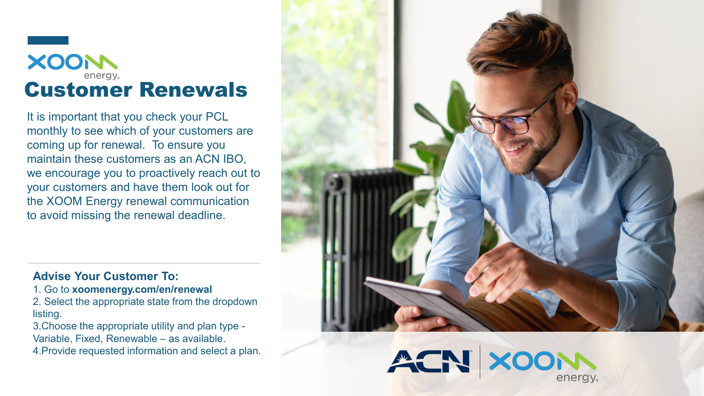

It is important that you check your PCL monthly to see which of your customers are coming up for renewal. To ensure you maintain these customers as an ACN IBO, we encourage you to proactively reach out to your customers and have them look out for the XOOM Energy renewal communication to avoid missing the renewal deadline.

## **Advise Your Customer To:**

- 1. Go to **xoomenergy.com/en/renewal**
- 2. Select the appropriate state from the dropdown listing.
- 3.Choose the appropriate utility and plan type Variable, Fixed, Renewable – as available.
- 4.Provide requested information and select a plan.

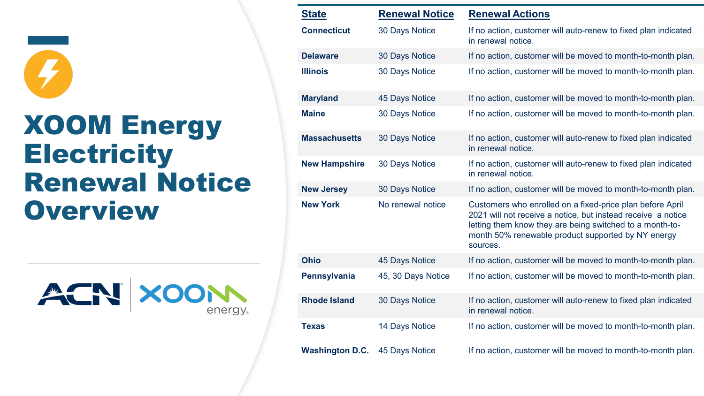

## XOOM Energy **Electricity** Renewal Notice **Overview**

ACN XOOM energy.

| <b>State</b>           | <b>Renewal Notice</b> | <b>Renewal Actions</b>                                                                                                                                                                                                                                  |
|------------------------|-----------------------|---------------------------------------------------------------------------------------------------------------------------------------------------------------------------------------------------------------------------------------------------------|
| <b>Connecticut</b>     | 30 Days Notice        | If no action, customer will auto-renew to fixed plan indicated<br>in renewal notice.                                                                                                                                                                    |
| <b>Delaware</b>        | 30 Days Notice        | If no action, customer will be moved to month-to-month plan.                                                                                                                                                                                            |
| <b>Illinois</b>        | 30 Days Notice        | If no action, customer will be moved to month-to-month plan.                                                                                                                                                                                            |
| <b>Maryland</b>        | 45 Days Notice        | If no action, customer will be moved to month-to-month plan.                                                                                                                                                                                            |
| <b>Maine</b>           | 30 Days Notice        | If no action, customer will be moved to month-to-month plan.                                                                                                                                                                                            |
| <b>Massachusetts</b>   | 30 Days Notice        | If no action, customer will auto-renew to fixed plan indicated<br>in renewal notice.                                                                                                                                                                    |
| <b>New Hampshire</b>   | 30 Days Notice        | If no action, customer will auto-renew to fixed plan indicated<br>in renewal notice.                                                                                                                                                                    |
| <b>New Jersey</b>      | 30 Days Notice        | If no action, customer will be moved to month-to-month plan.                                                                                                                                                                                            |
| <b>New York</b>        | No renewal notice     | Customers who enrolled on a fixed-price plan before April<br>2021 will not receive a notice, but instead receive a notice<br>letting them know they are being switched to a month-to-<br>month 50% renewable product supported by NY energy<br>sources. |
| <b>Ohio</b>            | 45 Days Notice        | If no action, customer will be moved to month-to-month plan.                                                                                                                                                                                            |
| Pennsylvania           | 45, 30 Days Notice    | If no action, customer will be moved to month-to-month plan.                                                                                                                                                                                            |
| <b>Rhode Island</b>    | 30 Days Notice        | If no action, customer will auto-renew to fixed plan indicated<br>in renewal notice.                                                                                                                                                                    |
| <b>Texas</b>           | <b>14 Days Notice</b> | If no action, customer will be moved to month-to-month plan.                                                                                                                                                                                            |
| <b>Washington D.C.</b> | 45 Days Notice        | If no action, customer will be moved to month-to-month plan.                                                                                                                                                                                            |